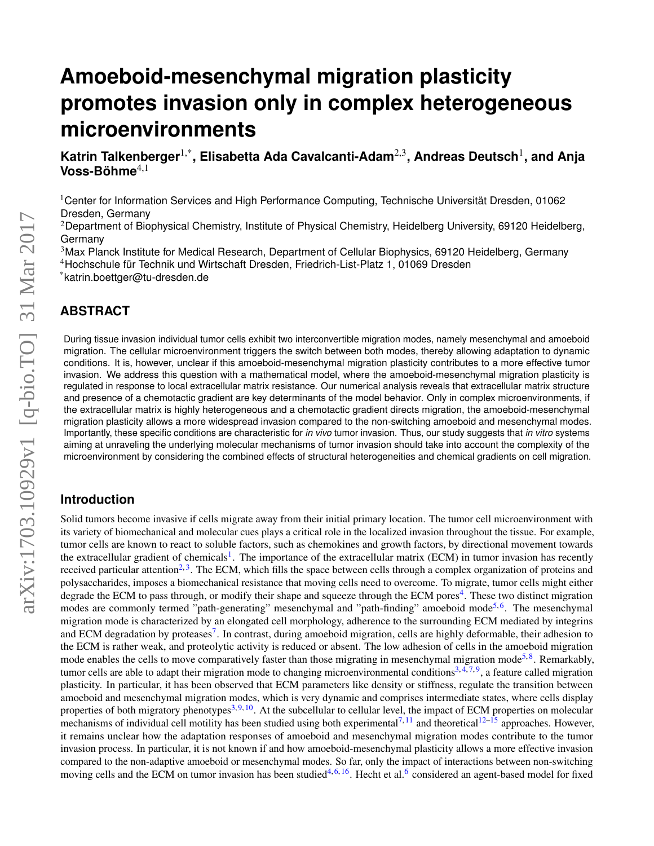# **Amoeboid-mesenchymal migration plasticity promotes invasion only in complex heterogeneous microenvironments**

**Katrin Talkenberger**1,\***, Elisabetta Ada Cavalcanti-Adam**2,3**, Andreas Deutsch**<sup>1</sup> **, and Anja**  $\textsf{Voss-Böhme}^{4,1}$ 

 $1$ Center for Information Services and High Performance Computing, Technische Universität Dresden, 01062 Dresden, Germany

<sup>2</sup>Department of Biophysical Chemistry, Institute of Physical Chemistry, Heidelberg University, 69120 Heidelberg, Germany

<sup>3</sup>Max Planck Institute for Medical Research, Department of Cellular Biophysics, 69120 Heidelberg, Germany <sup>4</sup>Hochschule für Technik und Wirtschaft Dresden, Friedrich-List-Platz 1, 01069 Dresden

\*katrin.boettger@tu-dresden.de

# **ABSTRACT**

During tissue invasion individual tumor cells exhibit two interconvertible migration modes, namely mesenchymal and amoeboid migration. The cellular microenvironment triggers the switch between both modes, thereby allowing adaptation to dynamic conditions. It is, however, unclear if this amoeboid-mesenchymal migration plasticity contributes to a more effective tumor invasion. We address this question with a mathematical model, where the amoeboid-mesenchymal migration plasticity is regulated in response to local extracellular matrix resistance. Our numerical analysis reveals that extracellular matrix structure and presence of a chemotactic gradient are key determinants of the model behavior. Only in complex microenvironments, if the extracellular matrix is highly heterogeneous and a chemotactic gradient directs migration, the amoeboid-mesenchymal migration plasticity allows a more widespread invasion compared to the non-switching amoeboid and mesenchymal modes. Importantly, these specific conditions are characteristic for *in vivo* tumor invasion. Thus, our study suggests that *in vitro* systems aiming at unraveling the underlying molecular mechanisms of tumor invasion should take into account the complexity of the microenvironment by considering the combined effects of structural heterogeneities and chemical gradients on cell migration.

## **Introduction**

Solid tumors become invasive if cells migrate away from their initial primary location. The tumor cell microenvironment with its variety of biomechanical and molecular cues plays a critical role in the localized invasion throughout the tissue. For example, tumor cells are known to react to soluble factors, such as chemokines and growth factors, by directional movement towards the extracellular gradient of chemicals<sup>[1](#page-6-0)</sup>. The importance of the extracellular matrix (ECM) in tumor invasion has recently received particular attention<sup>[2,](#page-6-1)[3](#page-6-2)</sup>. The ECM, which fills the space between cells through a complex organization of proteins and polysaccharides, imposes a biomechanical resistance that moving cells need to overcome. To migrate, tumor cells might either degrade the ECM to pass through, or modify their shape and squeeze through the ECM pores<sup>[4](#page-6-3)</sup>. These two distinct migration modes are commonly termed "path-generating" mesenchymal and "path-finding" amoeboid mode<sup>[5,](#page-6-4)[6](#page-6-5)</sup>. The mesenchymal migration mode is characterized by an elongated cell morphology, adherence to the surrounding ECM mediated by integrins and ECM degradation by proteases<sup>[7](#page-6-6)</sup>. In contrast, during amoeboid migration, cells are highly deformable, their adhesion to the ECM is rather weak, and proteolytic activity is reduced or absent. The low adhesion of cells in the amoeboid migration mode enables the cells to move comparatively faster than those migrating in mesenchymal migration mode<sup>[5,](#page-6-4)[8](#page-6-7)</sup>. Remarkably, tumor cells are able to adapt their migration mode to changing microenvironmental conditions<sup>[3,](#page-6-2)[4,](#page-6-3)[7,](#page-6-6)[9](#page-6-8)</sup>, a feature called migration plasticity. In particular, it has been observed that ECM parameters like density or stiffness, regulate the transition between amoeboid and mesenchymal migration modes, which is very dynamic and comprises intermediate states, where cells display properties of both migratory phenotypes<sup>[3,](#page-6-2)[9,](#page-6-8) [10](#page-6-9)</sup>. At the subcellular to cellular level, the impact of ECM properties on molecular mechanisms of individual cell motility has been studied using both experimental<sup>[7,](#page-6-6) [11](#page-6-10)</sup> and theoretical<sup>[12](#page-6-11)[–15](#page-6-12)</sup> approaches. However, it remains unclear how the adaptation responses of amoeboid and mesenchymal migration modes contribute to the tumor invasion process. In particular, it is not known if and how amoeboid-mesenchymal plasticity allows a more effective invasion compared to the non-adaptive amoeboid or mesenchymal modes. So far, only the impact of interactions between non-switching moving cells and the ECM on tumor invasion has been studied<sup>[4,](#page-6-3)[6,](#page-6-5)[16](#page-6-13)</sup>. Hecht et al.<sup>[6](#page-6-5)</sup> considered an agent-based model for fixed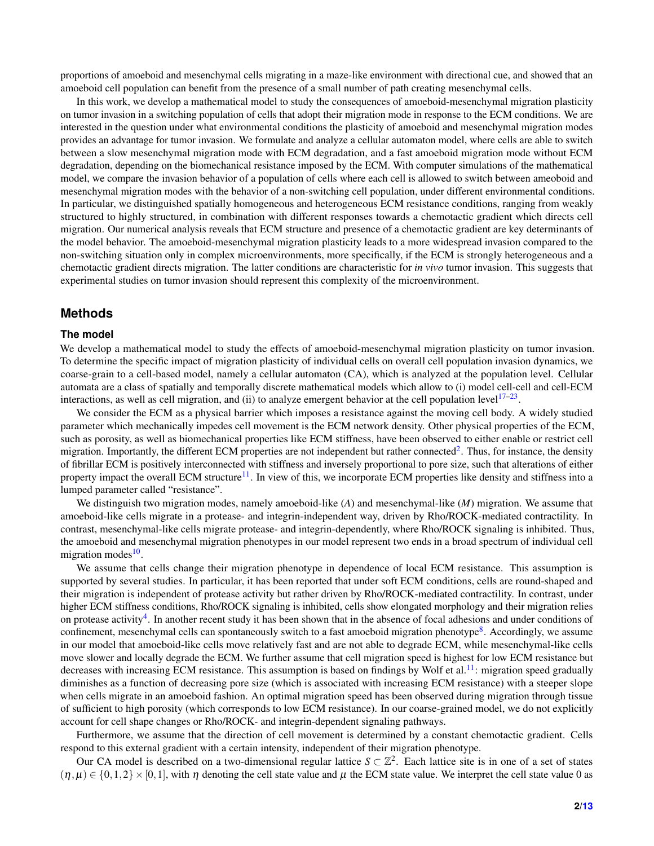proportions of amoeboid and mesenchymal cells migrating in a maze-like environment with directional cue, and showed that an amoeboid cell population can benefit from the presence of a small number of path creating mesenchymal cells.

In this work, we develop a mathematical model to study the consequences of amoeboid-mesenchymal migration plasticity on tumor invasion in a switching population of cells that adopt their migration mode in response to the ECM conditions. We are interested in the question under what environmental conditions the plasticity of amoeboid and mesenchymal migration modes provides an advantage for tumor invasion. We formulate and analyze a cellular automaton model, where cells are able to switch between a slow mesenchymal migration mode with ECM degradation, and a fast amoeboid migration mode without ECM degradation, depending on the biomechanical resistance imposed by the ECM. With computer simulations of the mathematical model, we compare the invasion behavior of a population of cells where each cell is allowed to switch between ameoboid and mesenchymal migration modes with the behavior of a non-switching cell population, under different environmental conditions. In particular, we distinguished spatially homogeneous and heterogeneous ECM resistance conditions, ranging from weakly structured to highly structured, in combination with different responses towards a chemotactic gradient which directs cell migration. Our numerical analysis reveals that ECM structure and presence of a chemotactic gradient are key determinants of the model behavior. The amoeboid-mesenchymal migration plasticity leads to a more widespread invasion compared to the non-switching situation only in complex microenvironments, more specifically, if the ECM is strongly heterogeneous and a chemotactic gradient directs migration. The latter conditions are characteristic for *in vivo* tumor invasion. This suggests that experimental studies on tumor invasion should represent this complexity of the microenvironment.

## **Methods**

#### **The model**

We develop a mathematical model to study the effects of amoeboid-mesenchymal migration plasticity on tumor invasion. To determine the specific impact of migration plasticity of individual cells on overall cell population invasion dynamics, we coarse-grain to a cell-based model, namely a cellular automaton (CA), which is analyzed at the population level. Cellular automata are a class of spatially and temporally discrete mathematical models which allow to (i) model cell-cell and cell-ECM interactions, as well as cell migration, and (ii) to analyze emergent behavior at the cell population level<sup>[17–](#page-6-14)[23](#page-7-0)</sup>.

We consider the ECM as a physical barrier which imposes a resistance against the moving cell body. A widely studied parameter which mechanically impedes cell movement is the ECM network density. Other physical properties of the ECM, such as porosity, as well as biomechanical properties like ECM stiffness, have been observed to either enable or restrict cell migration. Importantly, the different ECM properties are not independent but rather connected<sup>[2](#page-6-1)</sup>. Thus, for instance, the density of fibrillar ECM is positively interconnected with stiffness and inversely proportional to pore size, such that alterations of either property impact the overall ECM structure<sup>[11](#page-6-10)</sup>. In view of this, we incorporate ECM properties like density and stiffness into a lumped parameter called "resistance".

We distinguish two migration modes, namely amoeboid-like (*A*) and mesenchymal-like (*M*) migration. We assume that amoeboid-like cells migrate in a protease- and integrin-independent way, driven by Rho/ROCK-mediated contractility. In contrast, mesenchymal-like cells migrate protease- and integrin-dependently, where Rho/ROCK signaling is inhibited. Thus, the amoeboid and mesenchymal migration phenotypes in our model represent two ends in a broad spectrum of individual cell migration modes<sup>[10](#page-6-9)</sup>.

We assume that cells change their migration phenotype in dependence of local ECM resistance. This assumption is supported by several studies. In particular, it has been reported that under soft ECM conditions, cells are round-shaped and their migration is independent of protease activity but rather driven by Rho/ROCK-mediated contractility. In contrast, under higher ECM stiffness conditions, Rho/ROCK signaling is inhibited, cells show elongated morphology and their migration relies on protease activity<sup>[4](#page-6-3)</sup>. In another recent study it has been shown that in the absence of focal adhesions and under conditions of confinement, mesenchymal cells can spontaneously switch to a fast amoeboid migration phenotype<sup>[8](#page-6-7)</sup>. Accordingly, we assume in our model that amoeboid-like cells move relatively fast and are not able to degrade ECM, while mesenchymal-like cells move slower and locally degrade the ECM. We further assume that cell migration speed is highest for low ECM resistance but decreases with increasing ECM resistance. This assumption is based on findings by Wolf et al.<sup>[11](#page-6-10)</sup>: migration speed gradually diminishes as a function of decreasing pore size (which is associated with increasing ECM resistance) with a steeper slope when cells migrate in an amoeboid fashion. An optimal migration speed has been observed during migration through tissue of sufficient to high porosity (which corresponds to low ECM resistance). In our coarse-grained model, we do not explicitly account for cell shape changes or Rho/ROCK- and integrin-dependent signaling pathways.

Furthermore, we assume that the direction of cell movement is determined by a constant chemotactic gradient. Cells respond to this external gradient with a certain intensity, independent of their migration phenotype.

Our CA model is described on a two-dimensional regular lattice  $S \subset \mathbb{Z}^2$ . Each lattice site is in one of a set of states  $(\eta,\mu) \in \{0,1,2\} \times [0,1]$ , with  $\eta$  denoting the cell state value and  $\mu$  the ECM state value. We interpret the cell state value 0 as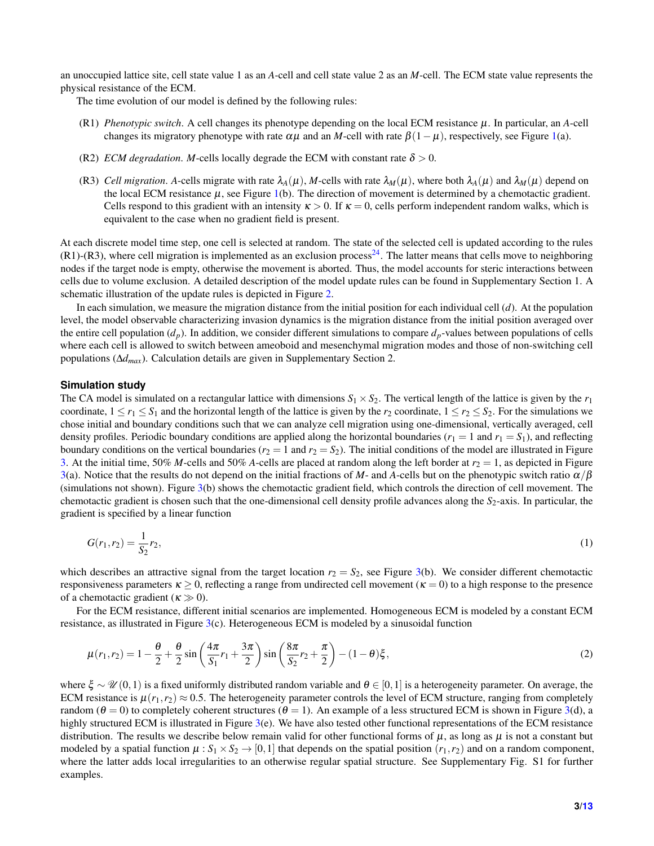an unoccupied lattice site, cell state value 1 as an *A*-cell and cell state value 2 as an *M*-cell. The ECM state value represents the physical resistance of the ECM.

The time evolution of our model is defined by the following rules:

- (R1) *Phenotypic switch*. A cell changes its phenotype depending on the local ECM resistance  $\mu$ . In particular, an *A*-cell changes its migratory phenotype with rate  $\alpha\mu$  and an *M*-cell with rate  $\beta(1-\mu)$ , respectively, see Figure [1\(](#page-8-0)a).
- (R2) *ECM degradation. M*-cells locally degrade the ECM with constant rate  $\delta > 0$ .
- (R3) *Cell migration*. *A*-cells migrate with rate  $\lambda_A(\mu)$ , *M*-cells with rate  $\lambda_M(\mu)$ , where both  $\lambda_A(\mu)$  and  $\lambda_M(\mu)$  depend on the local ECM resistance  $\mu$ , see Figure [1\(](#page-8-0)b). The direction of movement is determined by a chemotactic gradient. Cells respond to this gradient with an intensity  $\kappa > 0$ . If  $\kappa = 0$ , cells perform independent random walks, which is equivalent to the case when no gradient field is present.

At each discrete model time step, one cell is selected at random. The state of the selected cell is updated according to the rules  $(R1)-(R3)$ , where cell migration is implemented as an exclusion process<sup>[24](#page-7-1)</sup>. The latter means that cells move to neighboring nodes if the target node is empty, otherwise the movement is aborted. Thus, the model accounts for steric interactions between cells due to volume exclusion. A detailed description of the model update rules can be found in Supplementary Section 1. A schematic illustration of the update rules is depicted in Figure [2.](#page-8-1)

In each simulation, we measure the migration distance from the initial position for each individual cell (*d*). At the population level, the model observable characterizing invasion dynamics is the migration distance from the initial position averaged over the entire cell population  $(d_p)$ . In addition, we consider different simulations to compare  $d_p$ -values between populations of cells where each cell is allowed to switch between ameoboid and mesenchymal migration modes and those of non-switching cell populations (∆*dmax*). Calculation details are given in Supplementary Section 2.

#### **Simulation study**

The CA model is simulated on a rectangular lattice with dimensions  $S_1 \times S_2$ . The vertical length of the lattice is given by the  $r_1$ coordinate,  $1 \le r_1 \le S_1$  and the horizontal length of the lattice is given by the *r*<sub>2</sub> coordinate,  $1 \le r_2 \le S_2$ . For the simulations we chose initial and boundary conditions such that we can analyze cell migration using one-dimensional, vertically averaged, cell density profiles. Periodic boundary conditions are applied along the horizontal boundaries ( $r_1 = 1$  and  $r_1 = S_1$ ), and reflecting boundary conditions on the vertical boundaries ( $r_2 = 1$  and  $r_2 = S_2$ ). The initial conditions of the model are illustrated in Figure [3.](#page-9-0) At the initial time, 50% *M*-cells and 50% *A*-cells are placed at random along the left border at  $r_2 = 1$ , as depicted in Figure [3\(](#page-9-0)a). Notice that the results do not depend on the initial fractions of *M*- and *A*-cells but on the phenotypic switch ratio  $\alpha/\beta$ (simulations not shown). Figure [3\(](#page-9-0)b) shows the chemotactic gradient field, which controls the direction of cell movement. The chemotactic gradient is chosen such that the one-dimensional cell density profile advances along the *S*2-axis. In particular, the gradient is specified by a linear function

<span id="page-2-1"></span>
$$
G(r_1, r_2) = \frac{1}{S_2} r_2,\tag{1}
$$

which describes an attractive signal from the target location  $r_2 = S_2$ , see Figure [3\(](#page-9-0)b). We consider different chemotactic responsiveness parameters  $\kappa \ge 0$ , reflecting a range from undirected cell movement ( $\kappa = 0$ ) to a high response to the presence of a chemotactic gradient ( $\kappa \gg 0$ ).

For the ECM resistance, different initial scenarios are implemented. Homogeneous ECM is modeled by a constant ECM resistance, as illustrated in Figure [3\(](#page-9-0)c). Heterogeneous ECM is modeled by a sinusoidal function

<span id="page-2-0"></span>
$$
\mu(r_1, r_2) = 1 - \frac{\theta}{2} + \frac{\theta}{2} \sin\left(\frac{4\pi}{S_1}r_1 + \frac{3\pi}{2}\right) \sin\left(\frac{8\pi}{S_2}r_2 + \frac{\pi}{2}\right) - (1 - \theta)\xi,
$$
\n(2)

where  $\xi \sim \mathcal{U}(0,1)$  is a fixed uniformly distributed random variable and  $\theta \in [0,1]$  is a heterogeneity parameter. On average, the ECM resistance is  $\mu(r_1, r_2) \approx 0.5$ . The heterogeneity parameter controls the level of ECM structure, ranging from completely random ( $\theta = 0$ ) to completely coherent structures ( $\theta = 1$ ). An example of a less structured ECM is shown in Figure [3\(](#page-9-0)d), a highly structured ECM is illustrated in Figure [3\(](#page-9-0)e). We have also tested other functional representations of the ECM resistance distribution. The results we describe below remain valid for other functional forms of  $\mu$ , as long as  $\mu$  is not a constant but modeled by a spatial function  $\mu$  :  $S_1 \times S_2 \rightarrow [0,1]$  that depends on the spatial position  $(r_1, r_2)$  and on a random component, where the latter adds local irregularities to an otherwise regular spatial structure. See Supplementary Fig. S1 for further examples.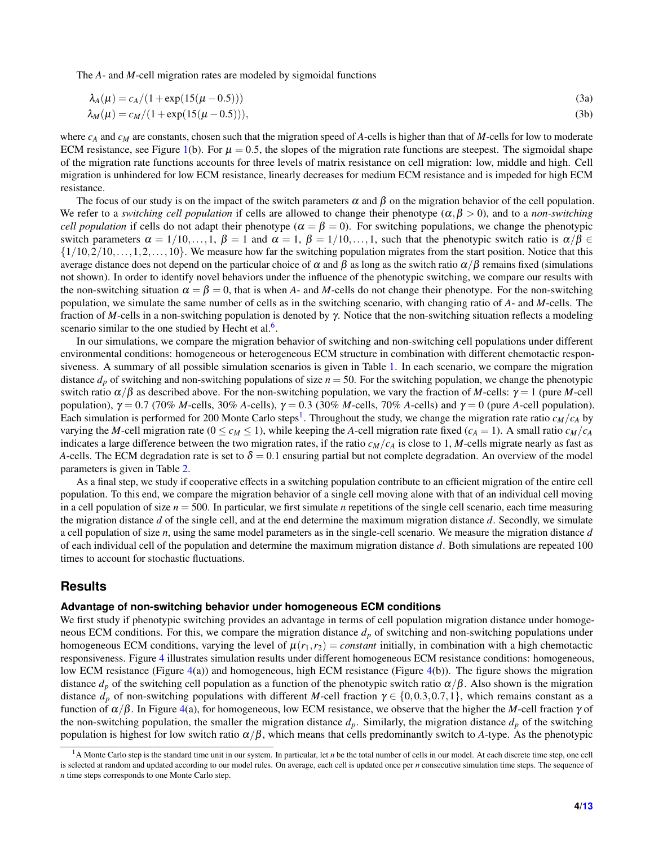The *A*- and *M*-cell migration rates are modeled by sigmoidal functions

$$
\lambda_A(\mu) = c_A/(1 + \exp(15(\mu - 0.5)))
$$
\n(3a)

<span id="page-3-2"></span><span id="page-3-1"></span>
$$
\lambda_M(\mu) = c_M/(1 + \exp(15(\mu - 0.5))), \tag{3b}
$$

where *c<sup>A</sup>* and *c<sup>M</sup>* are constants, chosen such that the migration speed of *A*-cells is higher than that of *M*-cells for low to moderate ECM resistance, see Figure [1\(](#page-8-0)b). For  $\mu = 0.5$ , the slopes of the migration rate functions are steepest. The sigmoidal shape of the migration rate functions accounts for three levels of matrix resistance on cell migration: low, middle and high. Cell migration is unhindered for low ECM resistance, linearly decreases for medium ECM resistance and is impeded for high ECM resistance.

The focus of our study is on the impact of the switch parameters  $\alpha$  and  $\beta$  on the migration behavior of the cell population. We refer to a *switching cell population* if cells are allowed to change their phenotype  $(\alpha, \beta > 0)$ , and to a *non-switching cell population* if cells do not adapt their phenotype ( $\alpha = \beta = 0$ ). For switching populations, we change the phenotypic switch parameters  $\alpha = 1/10, \ldots, 1$ ,  $\beta = 1$  and  $\alpha = 1$ ,  $\beta = 1/10, \ldots, 1$ , such that the phenotypic switch ratio is  $\alpha/\beta \in$  $\{1/10, 2/10, \ldots, 1, 2, \ldots, 10\}$ . We measure how far the switching population migrates from the start position. Notice that this average distance does not depend on the particular choice of  $\alpha$  and  $\beta$  as long as the switch ratio  $\alpha/\beta$  remains fixed (simulations not shown). In order to identify novel behaviors under the influence of the phenotypic switching, we compare our results with the non-switching situation  $\alpha = \beta = 0$ , that is when A- and M-cells do not change their phenotype. For the non-switching population, we simulate the same number of cells as in the switching scenario, with changing ratio of *A*- and *M*-cells. The fraction of *M*-cells in a non-switching population is denoted by γ. Notice that the non-switching situation reflects a modeling scenario similar to the one studied by Hecht et al. $6$ .

In our simulations, we compare the migration behavior of switching and non-switching cell populations under different environmental conditions: homogeneous or heterogeneous ECM structure in combination with different chemotactic responsiveness. A summary of all possible simulation scenarios is given in Table [1.](#page-12-1) In each scenario, we compare the migration distance  $d_p$  of switching and non-switching populations of size  $n = 50$ . For the switching population, we change the phenotypic switch ratio  $\alpha/\beta$  as described above. For the non-switching population, we vary the fraction of *M*-cells: γ = 1 (pure *M*-cell population),  $\gamma = 0.7$  (70% *M*-cells, 30% *A*-cells),  $\gamma = 0.3$  (30% *M*-cells, 70% *A*-cells) and  $\gamma = 0$  (pure *A*-cell population). Each simulation is performed for 200 Monte Carlo steps<sup>[1](#page-3-0)</sup>. Throughout the study, we change the migration rate ratio  $c_M/c_A$  by varying the *M*-cell migration rate  $(0 \le c_M \le 1)$ , while keeping the *A*-cell migration rate fixed  $(c_A = 1)$ . A small ratio  $c_M/c_A$ indicates a large difference between the two migration rates, if the ratio  $c_M/c_A$  is close to 1, *M*-cells migrate nearly as fast as *A*-cells. The ECM degradation rate is set to  $\delta = 0.1$  ensuring partial but not complete degradation. An overview of the model parameters is given in Table [2.](#page-12-2)

As a final step, we study if cooperative effects in a switching population contribute to an efficient migration of the entire cell population. To this end, we compare the migration behavior of a single cell moving alone with that of an individual cell moving in a cell population of size  $n = 500$ . In particular, we first simulate *n* repetitions of the single cell scenario, each time measuring the migration distance *d* of the single cell, and at the end determine the maximum migration distance *d*. Secondly, we simulate a cell population of size *n*, using the same model parameters as in the single-cell scenario. We measure the migration distance *d* of each individual cell of the population and determine the maximum migration distance *d*. Both simulations are repeated 100 times to account for stochastic fluctuations.

## **Results**

#### **Advantage of non-switching behavior under homogeneous ECM conditions**

We first study if phenotypic switching provides an advantage in terms of cell population migration distance under homogeneous ECM conditions. For this, we compare the migration distance *d<sup>p</sup>* of switching and non-switching populations under homogeneous ECM conditions, varying the level of  $\mu(r_1, r_2) = constant$  initially, in combination with a high chemotactic responsiveness. Figure [4](#page-10-0) illustrates simulation results under different homogeneous ECM resistance conditions: homogeneous, low ECM resistance (Figure [4\(](#page-10-0)a)) and homogeneous, high ECM resistance (Figure 4(b)). The figure shows the migration distance  $d<sub>p</sub>$  of the switching cell population as a function of the phenotypic switch ratio  $\alpha/\beta$ . Also shown is the migration distance  $d_p$  of non-switching populations with different *M*-cell fraction  $\gamma \in \{0, 0.3, 0.7, 1\}$ , which remains constant as a function of α/β. In Figure [4\(](#page-10-0)a), for homogeneous, low ECM resistance, we observe that the higher the *M*-cell fraction γ of the non-switching population, the smaller the migration distance  $d_p$ . Similarly, the migration distance  $d_p$  of the switching population is highest for low switch ratio  $\alpha/\beta$ , which means that cells predominantly switch to *A*-type. As the phenotypic

<span id="page-3-0"></span><sup>&</sup>lt;sup>1</sup>A Monte Carlo step is the standard time unit in our system. In particular, let *n* be the total number of cells in our model. At each discrete time step, one cell is selected at random and updated according to our model rules. On average, each cell is updated once per *n* consecutive simulation time steps. The sequence of *n* time steps corresponds to one Monte Carlo step.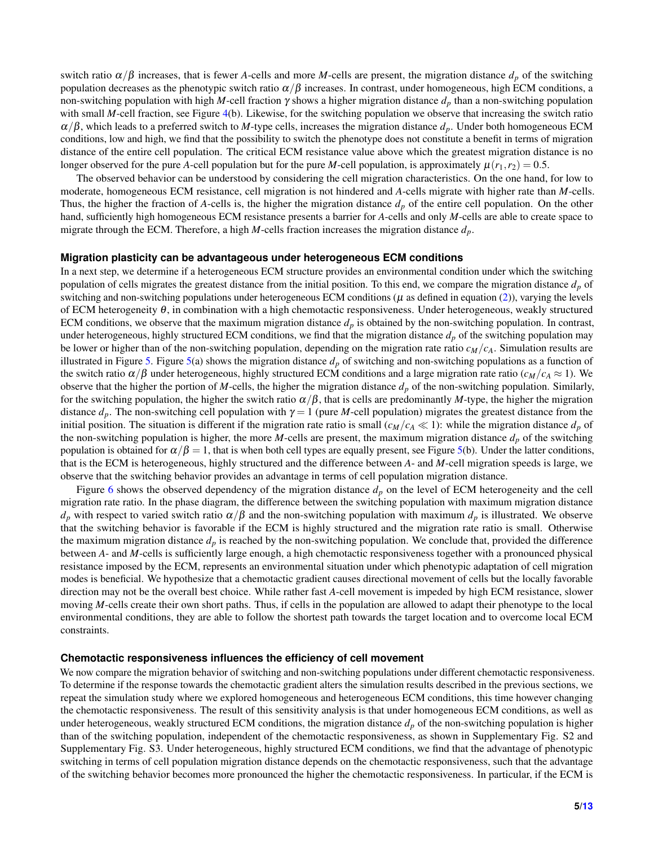switch ratio  $\alpha/\beta$  increases, that is fewer *A*-cells and more *M*-cells are present, the migration distance  $d_p$  of the switching population decreases as the phenotypic switch ratio  $\alpha/\beta$  increases. In contrast, under homogeneous, high ECM conditions, a non-switching population with high *M*-cell fraction γ shows a higher migration distance *d<sup>p</sup>* than a non-switching population with small *M*-cell fraction, see Figure [4\(](#page-10-0)b). Likewise, for the switching population we observe that increasing the switch ratio  $\alpha/\beta$ , which leads to a preferred switch to *M*-type cells, increases the migration distance  $d_p$ . Under both homogeneous ECM conditions, low and high, we find that the possibility to switch the phenotype does not constitute a benefit in terms of migration distance of the entire cell population. The critical ECM resistance value above which the greatest migration distance is no longer observed for the pure *A*-cell population but for the pure *M*-cell population, is approximately  $\mu(r_1, r_2) = 0.5$ .

The observed behavior can be understood by considering the cell migration characteristics. On the one hand, for low to moderate, homogeneous ECM resistance, cell migration is not hindered and *A*-cells migrate with higher rate than *M*-cells. Thus, the higher the fraction of *A*-cells is, the higher the migration distance  $d<sub>p</sub>$  of the entire cell population. On the other hand, sufficiently high homogeneous ECM resistance presents a barrier for *A*-cells and only *M*-cells are able to create space to migrate through the ECM. Therefore, a high *M*-cells fraction increases the migration distance *dp*.

#### **Migration plasticity can be advantageous under heterogeneous ECM conditions**

In a next step, we determine if a heterogeneous ECM structure provides an environmental condition under which the switching population of cells migrates the greatest distance from the initial position. To this end, we compare the migration distance *d<sup>p</sup>* of switching and non-switching populations under heterogeneous ECM conditions ( $\mu$  as defined in equation [\(2\)](#page-2-0)), varying the levels of ECM heterogeneity  $\theta$ , in combination with a high chemotactic responsiveness. Under heterogeneous, weakly structured ECM conditions, we observe that the maximum migration distance  $d<sub>p</sub>$  is obtained by the non-switching population. In contrast, under heterogeneous, highly structured ECM conditions, we find that the migration distance  $d<sub>p</sub>$  of the switching population may be lower or higher than of the non-switching population, depending on the migration rate ratio *cM*/*cA*. Simulation results are illustrated in Figure [5.](#page-10-1) Figure [5\(](#page-10-1)a) shows the migration distance  $d<sub>p</sub>$  of switching and non-switching populations as a function of the switch ratio  $\alpha/\beta$  under heterogeneous, highly structured ECM conditions and a large migration rate ratio ( $c_M/c_A \approx 1$ ). We observe that the higher the portion of *M*-cells, the higher the migration distance *d<sup>p</sup>* of the non-switching population. Similarly, for the switching population, the higher the switch ratio  $\alpha/\beta$ , that is cells are predominantly *M*-type, the higher the migration distance  $d_p$ . The non-switching cell population with  $\gamma = 1$  (pure *M*-cell population) migrates the greatest distance from the initial position. The situation is different if the migration rate ratio is small  $(c_M/c_A \ll 1)$ : while the migration distance  $d_p$  of the non-switching population is higher, the more *M*-cells are present, the maximum migration distance  $d_p$  of the switching population is obtained for  $\alpha/\beta = 1$ , that is when both cell types are equally present, see Figure [5\(](#page-10-1)b). Under the latter conditions, that is the ECM is heterogeneous, highly structured and the difference between *A*- and *M*-cell migration speeds is large, we observe that the switching behavior provides an advantage in terms of cell population migration distance.

Figure [6](#page-11-0) shows the observed dependency of the migration distance  $d<sub>p</sub>$  on the level of ECM heterogeneity and the cell migration rate ratio. In the phase diagram, the difference between the switching population with maximum migration distance  $d_p$  with respect to varied switch ratio  $\alpha/\beta$  and the non-switching population with maximum  $d_p$  is illustrated. We observe that the switching behavior is favorable if the ECM is highly structured and the migration rate ratio is small. Otherwise the maximum migration distance  $d<sub>p</sub>$  is reached by the non-switching population. We conclude that, provided the difference between *A*- and *M*-cells is sufficiently large enough, a high chemotactic responsiveness together with a pronounced physical resistance imposed by the ECM, represents an environmental situation under which phenotypic adaptation of cell migration modes is beneficial. We hypothesize that a chemotactic gradient causes directional movement of cells but the locally favorable direction may not be the overall best choice. While rather fast *A*-cell movement is impeded by high ECM resistance, slower moving *M*-cells create their own short paths. Thus, if cells in the population are allowed to adapt their phenotype to the local environmental conditions, they are able to follow the shortest path towards the target location and to overcome local ECM constraints.

#### **Chemotactic responsiveness influences the efficiency of cell movement**

We now compare the migration behavior of switching and non-switching populations under different chemotactic responsiveness. To determine if the response towards the chemotactic gradient alters the simulation results described in the previous sections, we repeat the simulation study where we explored homogeneous and heterogeneous ECM conditions, this time however changing the chemotactic responsiveness. The result of this sensitivity analysis is that under homogeneous ECM conditions, as well as under heterogeneous, weakly structured ECM conditions, the migration distance *d<sup>p</sup>* of the non-switching population is higher than of the switching population, independent of the chemotactic responsiveness, as shown in Supplementary Fig. S2 and Supplementary Fig. S3. Under heterogeneous, highly structured ECM conditions, we find that the advantage of phenotypic switching in terms of cell population migration distance depends on the chemotactic responsiveness, such that the advantage of the switching behavior becomes more pronounced the higher the chemotactic responsiveness. In particular, if the ECM is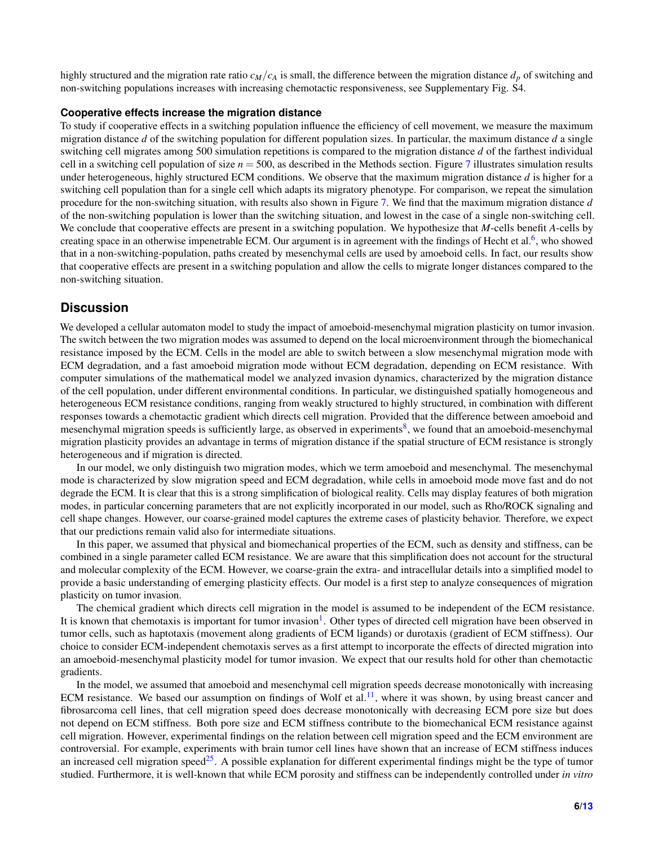highly structured and the migration rate ratio  $c_M/c_A$  is small, the difference between the migration distance  $d_p$  of switching and non-switching populations increases with increasing chemotactic responsiveness, see Supplementary Fig. S4.

#### **Cooperative effects increase the migration distance**

To study if cooperative effects in a switching population influence the efficiency of cell movement, we measure the maximum migration distance *d* of the switching population for different population sizes. In particular, the maximum distance *d* a single switching cell migrates among 500 simulation repetitions is compared to the migration distance *d* of the farthest individual cell in a switching cell population of size  $n = 500$ , as described in the Methods section. Figure [7](#page-11-1) illustrates simulation results under heterogeneous, highly structured ECM conditions. We observe that the maximum migration distance *d* is higher for a switching cell population than for a single cell which adapts its migratory phenotype. For comparison, we repeat the simulation procedure for the non-switching situation, with results also shown in Figure [7.](#page-11-1) We find that the maximum migration distance *d* of the non-switching population is lower than the switching situation, and lowest in the case of a single non-switching cell. We conclude that cooperative effects are present in a switching population. We hypothesize that *M*-cells benefit *A*-cells by creating space in an otherwise impenetrable ECM. Our argument is in agreement with the findings of Hecht et al.<sup>[6](#page-6-5)</sup>, who showed that in a non-switching-population, paths created by mesenchymal cells are used by amoeboid cells. In fact, our results show that cooperative effects are present in a switching population and allow the cells to migrate longer distances compared to the non-switching situation.

## **Discussion**

We developed a cellular automaton model to study the impact of amoeboid-mesenchymal migration plasticity on tumor invasion. The switch between the two migration modes was assumed to depend on the local microenvironment through the biomechanical resistance imposed by the ECM. Cells in the model are able to switch between a slow mesenchymal migration mode with ECM degradation, and a fast amoeboid migration mode without ECM degradation, depending on ECM resistance. With computer simulations of the mathematical model we analyzed invasion dynamics, characterized by the migration distance of the cell population, under different environmental conditions. In particular, we distinguished spatially homogeneous and heterogeneous ECM resistance conditions, ranging from weakly structured to highly structured, in combination with different responses towards a chemotactic gradient which directs cell migration. Provided that the difference between amoeboid and mesenchymal migration speeds is sufficiently large, as observed in experiments<sup>[8](#page-6-7)</sup>, we found that an amoeboid-mesenchymal migration plasticity provides an advantage in terms of migration distance if the spatial structure of ECM resistance is strongly heterogeneous and if migration is directed.

In our model, we only distinguish two migration modes, which we term amoeboid and mesenchymal. The mesenchymal mode is characterized by slow migration speed and ECM degradation, while cells in amoeboid mode move fast and do not degrade the ECM. It is clear that this is a strong simplification of biological reality. Cells may display features of both migration modes, in particular concerning parameters that are not explicitly incorporated in our model, such as Rho/ROCK signaling and cell shape changes. However, our coarse-grained model captures the extreme cases of plasticity behavior. Therefore, we expect that our predictions remain valid also for intermediate situations.

In this paper, we assumed that physical and biomechanical properties of the ECM, such as density and stiffness, can be combined in a single parameter called ECM resistance. We are aware that this simplification does not account for the structural and molecular complexity of the ECM. However, we coarse-grain the extra- and intracellular details into a simplified model to provide a basic understanding of emerging plasticity effects. Our model is a first step to analyze consequences of migration plasticity on tumor invasion.

The chemical gradient which directs cell migration in the model is assumed to be independent of the ECM resistance. It is known that chemotaxis is important for tumor invasion<sup>[1](#page-6-0)</sup>. Other types of directed cell migration have been observed in tumor cells, such as haptotaxis (movement along gradients of ECM ligands) or durotaxis (gradient of ECM stiffness). Our choice to consider ECM-independent chemotaxis serves as a first attempt to incorporate the effects of directed migration into an amoeboid-mesenchymal plasticity model for tumor invasion. We expect that our results hold for other than chemotactic gradients.

In the model, we assumed that amoeboid and mesenchymal cell migration speeds decrease monotonically with increasing ECM resistance. We based our assumption on findings of Wolf et al.<sup>[11](#page-6-10)</sup>, where it was shown, by using breast cancer and fibrosarcoma cell lines, that cell migration speed does decrease monotonically with decreasing ECM pore size but does not depend on ECM stiffness. Both pore size and ECM stiffness contribute to the biomechanical ECM resistance against cell migration. However, experimental findings on the relation between cell migration speed and the ECM environment are controversial. For example, experiments with brain tumor cell lines have shown that an increase of ECM stiffness induces an increased cell migration speed<sup>[25](#page-7-2)</sup>. A possible explanation for different experimental findings might be the type of tumor studied. Furthermore, it is well-known that while ECM porosity and stiffness can be independently controlled under *in vitro*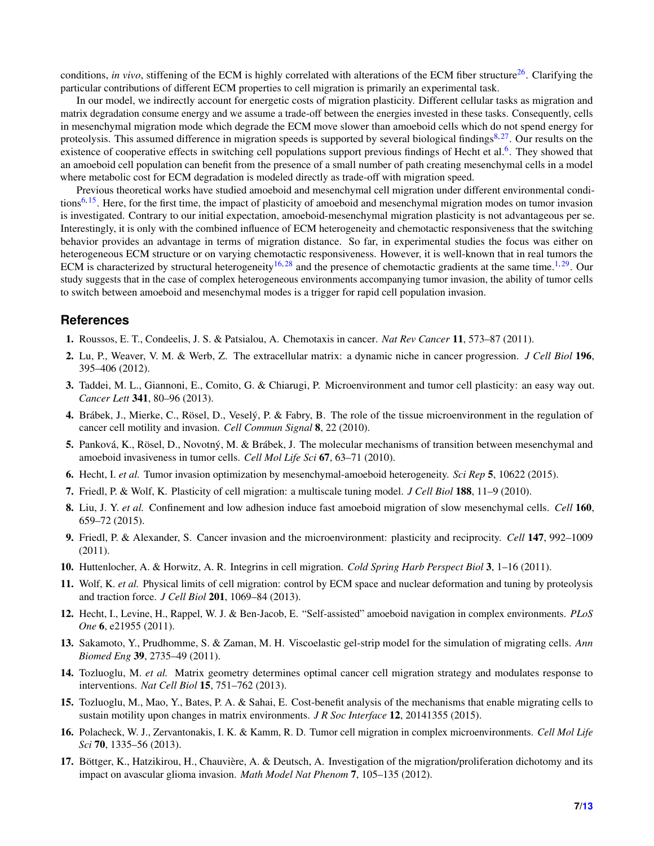conditions, *in vivo*, stiffening of the ECM is highly correlated with alterations of the ECM fiber structure<sup>[26](#page-7-3)</sup>. Clarifying the particular contributions of different ECM properties to cell migration is primarily an experimental task.

In our model, we indirectly account for energetic costs of migration plasticity. Different cellular tasks as migration and matrix degradation consume energy and we assume a trade-off between the energies invested in these tasks. Consequently, cells in mesenchymal migration mode which degrade the ECM move slower than amoeboid cells which do not spend energy for proteolysis. This assumed difference in migration speeds is supported by several biological findings<sup>[8,](#page-6-7)[27](#page-7-4)</sup>. Our results on the existence of cooperative effects in switching cell populations support previous findings of Hecht et al.<sup>[6](#page-6-5)</sup>. They showed that an amoeboid cell population can benefit from the presence of a small number of path creating mesenchymal cells in a model where metabolic cost for ECM degradation is modeled directly as trade-off with migration speed.

Previous theoretical works have studied amoeboid and mesenchymal cell migration under different environmental condi-tions<sup>[6,](#page-6-5) [15](#page-6-12)</sup>. Here, for the first time, the impact of plasticity of amoeboid and mesenchymal migration modes on tumor invasion is investigated. Contrary to our initial expectation, amoeboid-mesenchymal migration plasticity is not advantageous per se. Interestingly, it is only with the combined influence of ECM heterogeneity and chemotactic responsiveness that the switching behavior provides an advantage in terms of migration distance. So far, in experimental studies the focus was either on heterogeneous ECM structure or on varying chemotactic responsiveness. However, it is well-known that in real tumors the ECM is characterized by structural heterogeneity<sup>[16,](#page-6-13)[28](#page-7-5)</sup> and the presence of chemotactic gradients at the same time.<sup>[1,](#page-6-0)[29](#page-7-6)</sup>. Our study suggests that in the case of complex heterogeneous environments accompanying tumor invasion, the ability of tumor cells to switch between amoeboid and mesenchymal modes is a trigger for rapid cell population invasion.

### **References**

- <span id="page-6-0"></span>1. Roussos, E. T., Condeelis, J. S. & Patsialou, A. Chemotaxis in cancer. *Nat Rev Cancer* 11, 573–87 (2011).
- <span id="page-6-1"></span>2. Lu, P., Weaver, V. M. & Werb, Z. The extracellular matrix: a dynamic niche in cancer progression. *J Cell Biol* 196, 395–406 (2012).
- <span id="page-6-2"></span>3. Taddei, M. L., Giannoni, E., Comito, G. & Chiarugi, P. Microenvironment and tumor cell plasticity: an easy way out. *Cancer Lett* 341, 80–96 (2013).
- <span id="page-6-3"></span>4. Brábek, J., Mierke, C., Rösel, D., Veselý, P. & Fabry, B. The role of the tissue microenvironment in the regulation of cancer cell motility and invasion. *Cell Commun Signal* 8, 22 (2010).
- <span id="page-6-4"></span>5. Panková, K., Rösel, D., Novotný, M. & Brábek, J. The molecular mechanisms of transition between mesenchymal and amoeboid invasiveness in tumor cells. *Cell Mol Life Sci* 67, 63–71 (2010).
- <span id="page-6-5"></span>6. Hecht, I. *et al.* Tumor invasion optimization by mesenchymal-amoeboid heterogeneity. *Sci Rep* 5, 10622 (2015).
- <span id="page-6-6"></span>7. Friedl, P. & Wolf, K. Plasticity of cell migration: a multiscale tuning model. *J Cell Biol* 188, 11–9 (2010).
- <span id="page-6-7"></span>8. Liu, J. Y. *et al.* Confinement and low adhesion induce fast amoeboid migration of slow mesenchymal cells. *Cell* 160, 659–72 (2015).
- <span id="page-6-8"></span>9. Friedl, P. & Alexander, S. Cancer invasion and the microenvironment: plasticity and reciprocity. *Cell* 147, 992–1009 (2011).
- <span id="page-6-9"></span>10. Huttenlocher, A. & Horwitz, A. R. Integrins in cell migration. *Cold Spring Harb Perspect Biol* 3, 1–16 (2011).
- <span id="page-6-10"></span>11. Wolf, K. *et al.* Physical limits of cell migration: control by ECM space and nuclear deformation and tuning by proteolysis and traction force. *J Cell Biol* 201, 1069–84 (2013).
- <span id="page-6-11"></span>12. Hecht, I., Levine, H., Rappel, W. J. & Ben-Jacob, E. "Self-assisted" amoeboid navigation in complex environments. *PLoS One* 6, e21955 (2011).
- 13. Sakamoto, Y., Prudhomme, S. & Zaman, M. H. Viscoelastic gel-strip model for the simulation of migrating cells. *Ann Biomed Eng* 39, 2735–49 (2011).
- 14. Tozluoglu, M. *et al.* Matrix geometry determines optimal cancer cell migration strategy and modulates response to interventions. *Nat Cell Biol* 15, 751–762 (2013).
- <span id="page-6-12"></span>15. Tozluoglu, M., Mao, Y., Bates, P. A. & Sahai, E. Cost-benefit analysis of the mechanisms that enable migrating cells to sustain motility upon changes in matrix environments. *J R Soc Interface* 12, 20141355 (2015).
- <span id="page-6-13"></span>16. Polacheck, W. J., Zervantonakis, I. K. & Kamm, R. D. Tumor cell migration in complex microenvironments. *Cell Mol Life Sci* 70, 1335–56 (2013).
- <span id="page-6-14"></span>17. Böttger, K., Hatzikirou, H., Chauvière, A. & Deutsch, A. Investigation of the migration/proliferation dichotomy and its impact on avascular glioma invasion. *Math Model Nat Phenom* 7, 105–135 (2012).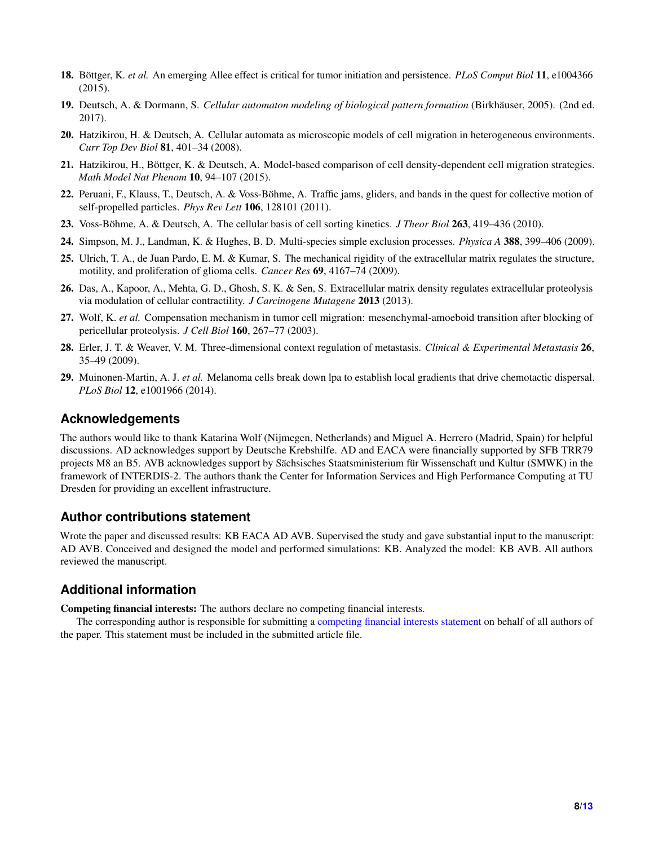- 18. Böttger, K. *et al.* An emerging Allee effect is critical for tumor initiation and persistence. *PLoS Comput Biol* 11, e1004366 (2015).
- 19. Deutsch, A. & Dormann, S. *Cellular automaton modeling of biological pattern formation* (Birkhauser, 2005). (2nd ed. ¨ 2017).
- 20. Hatzikirou, H. & Deutsch, A. Cellular automata as microscopic models of cell migration in heterogeneous environments. *Curr Top Dev Biol* 81, 401–34 (2008).
- 21. Hatzikirou, H., Bottger, K. & Deutsch, A. Model-based comparison of cell density-dependent cell migration strategies. ¨ *Math Model Nat Phenom* 10, 94–107 (2015).
- 22. Peruani, F., Klauss, T., Deutsch, A. & Voss-Böhme, A. Traffic jams, gliders, and bands in the quest for collective motion of self-propelled particles. *Phys Rev Lett* 106, 128101 (2011).
- <span id="page-7-0"></span>23. Voss-Böhme, A. & Deutsch, A. The cellular basis of cell sorting kinetics. *J Theor Biol* 263, 419–436 (2010).
- <span id="page-7-1"></span>24. Simpson, M. J., Landman, K. & Hughes, B. D. Multi-species simple exclusion processes. *Physica A* 388, 399–406 (2009).
- <span id="page-7-2"></span>25. Ulrich, T. A., de Juan Pardo, E. M. & Kumar, S. The mechanical rigidity of the extracellular matrix regulates the structure, motility, and proliferation of glioma cells. *Cancer Res* 69, 4167–74 (2009).
- <span id="page-7-3"></span>26. Das, A., Kapoor, A., Mehta, G. D., Ghosh, S. K. & Sen, S. Extracellular matrix density regulates extracellular proteolysis via modulation of cellular contractility. *J Carcinogene Mutagene* 2013 (2013).
- <span id="page-7-4"></span>27. Wolf, K. *et al.* Compensation mechanism in tumor cell migration: mesenchymal-amoeboid transition after blocking of pericellular proteolysis. *J Cell Biol* 160, 267–77 (2003).
- <span id="page-7-5"></span>28. Erler, J. T. & Weaver, V. M. Three-dimensional context regulation of metastasis. *Clinical & Experimental Metastasis* 26, 35–49 (2009).
- <span id="page-7-6"></span>29. Muinonen-Martin, A. J. *et al.* Melanoma cells break down lpa to establish local gradients that drive chemotactic dispersal. *PLoS Biol* 12, e1001966 (2014).

## **Acknowledgements**

The authors would like to thank Katarina Wolf (Nijmegen, Netherlands) and Miguel A. Herrero (Madrid, Spain) for helpful discussions. AD acknowledges support by Deutsche Krebshilfe. AD and EACA were financially supported by SFB TRR79 projects M8 an B5. AVB acknowledges support by Sächsisches Staatsministerium für Wissenschaft und Kultur (SMWK) in the framework of INTERDIS-2. The authors thank the Center for Information Services and High Performance Computing at TU Dresden for providing an excellent infrastructure.

## **Author contributions statement**

Wrote the paper and discussed results: KB EACA AD AVB. Supervised the study and gave substantial input to the manuscript: AD AVB. Conceived and designed the model and performed simulations: KB. Analyzed the model: KB AVB. All authors reviewed the manuscript.

## **Additional information**

Competing financial interests: The authors declare no competing financial interests.

The corresponding author is responsible for submitting a [competing financial interests statement](http://www.nature.com/srep/policies/index.html#competing) on behalf of all authors of the paper. This statement must be included in the submitted article file.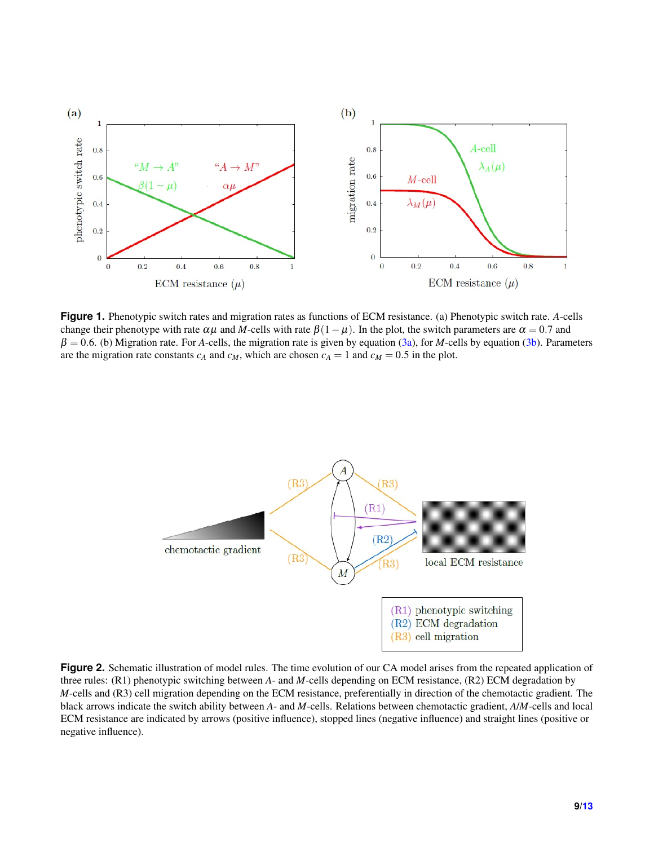<span id="page-8-0"></span>

**Figure 1.** Phenotypic switch rates and migration rates as functions of ECM resistance. (a) Phenotypic switch rate. *A*-cells change their phenotype with rate  $\alpha\mu$  and *M*-cells with rate  $\beta(1-\mu)$ . In the plot, the switch parameters are  $\alpha = 0.7$  and  $\beta = 0.6$ . (b) Migration rate. For *A*-cells, the migration rate is given by equation [\(3a\)](#page-3-1), for *M*-cells by equation [\(3b\)](#page-3-2). Parameters are the migration rate constants  $c_A$  and  $c_M$ , which are chosen  $c_A = 1$  and  $c_M = 0.5$  in the plot.

<span id="page-8-1"></span>

**Figure 2.** Schematic illustration of model rules. The time evolution of our CA model arises from the repeated application of three rules: (R1) phenotypic switching between *A*- and *M*-cells depending on ECM resistance, (R2) ECM degradation by *M*-cells and (R3) cell migration depending on the ECM resistance, preferentially in direction of the chemotactic gradient. The black arrows indicate the switch ability between *A*- and *M*-cells. Relations between chemotactic gradient, *A*/*M*-cells and local ECM resistance are indicated by arrows (positive influence), stopped lines (negative influence) and straight lines (positive or negative influence).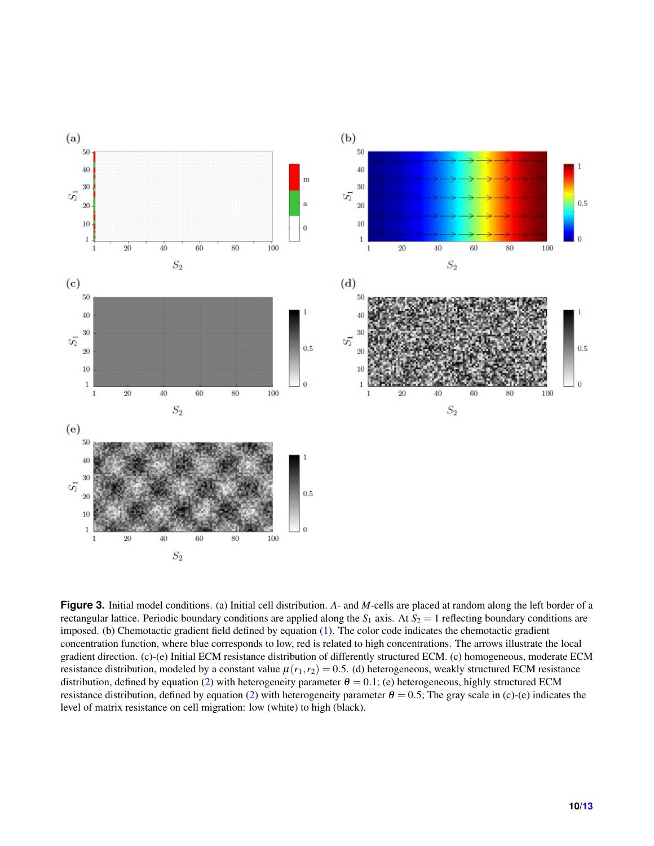<span id="page-9-0"></span>

**Figure 3.** Initial model conditions. (a) Initial cell distribution. *A*- and *M*-cells are placed at random along the left border of a rectangular lattice. Periodic boundary conditions are applied along the  $S_1$  axis. At  $S_2 = 1$  reflecting boundary conditions are imposed. (b) Chemotactic gradient field defined by equation [\(1\)](#page-2-1). The color code indicates the chemotactic gradient concentration function, where blue corresponds to low, red is related to high concentrations. The arrows illustrate the local gradient direction. (c)-(e) Initial ECM resistance distribution of differently structured ECM. (c) homogeneous, moderate ECM resistance distribution, modeled by a constant value  $\mu(r_1, r_2) = 0.5$ . (d) heterogeneous, weakly structured ECM resistance distribution, defined by equation [\(2\)](#page-2-0) with heterogeneity parameter  $\theta = 0.1$ ; (e) heterogeneous, highly structured ECM resistance distribution, defined by equation [\(2\)](#page-2-0) with heterogeneity parameter  $\theta = 0.5$ ; The gray scale in (c)-(e) indicates the level of matrix resistance on cell migration: low (white) to high (black).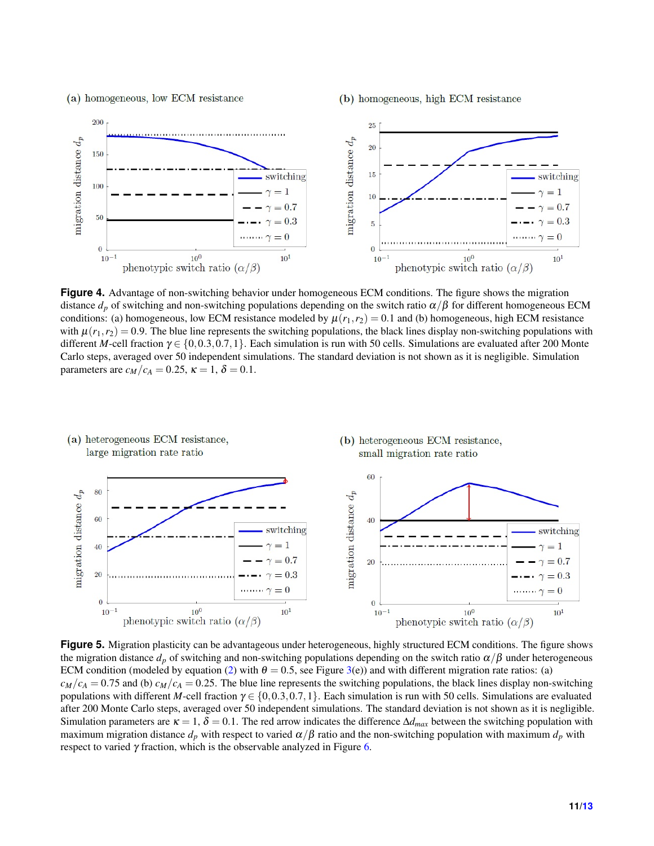<span id="page-10-0"></span>(a) homogeneous, low ECM resistance

(b) homogeneous, high ECM resistance



**Figure 4.** Advantage of non-switching behavior under homogeneous ECM conditions. The figure shows the migration distance  $d_p$  of switching and non-switching populations depending on the switch ratio  $\alpha/\beta$  for different homogeneous ECM conditions: (a) homogeneous, low ECM resistance modeled by  $\mu(r_1, r_2) = 0.1$  and (b) homogeneous, high ECM resistance with  $\mu(r_1, r_2) = 0.9$ . The blue line represents the switching populations, the black lines display non-switching populations with different *M*-cell fraction  $\gamma \in \{0, 0.3, 0.7, 1\}$ . Each simulation is run with 50 cells. Simulations are evaluated after 200 Monte Carlo steps, averaged over 50 independent simulations. The standard deviation is not shown as it is negligible. Simulation parameters are  $c_M/c_A = 0.25$ ,  $\kappa = 1$ ,  $\delta = 0.1$ .

<span id="page-10-1"></span>

**Figure 5.** Migration plasticity can be advantageous under heterogeneous, highly structured ECM conditions. The figure shows the migration distance  $d_p$  of switching and non-switching populations depending on the switch ratio  $\alpha/\beta$  under heterogeneous ECM condition (modeled by equation [\(2\)](#page-2-0) with  $\theta = 0.5$ , see Figure [3\(](#page-9-0)e)) and with different migration rate ratios: (a)  $c_M/c_A = 0.75$  and (b)  $c_M/c_A = 0.25$ . The blue line represents the switching populations, the black lines display non-switching populations with different *M*-cell fraction  $\gamma \in \{0, 0.3, 0.7, 1\}$ . Each simulation is run with 50 cells. Simulations are evaluated after 200 Monte Carlo steps, averaged over 50 independent simulations. The standard deviation is not shown as it is negligible. Simulation parameters are  $\kappa = 1$ ,  $\delta = 0.1$ . The red arrow indicates the difference  $\Delta d_{max}$  between the switching population with maximum migration distance  $d_p$  with respect to varied  $\alpha/\beta$  ratio and the non-switching population with maximum  $d_p$  with respect to varied  $\gamma$  fraction, which is the observable analyzed in Figure [6.](#page-11-0)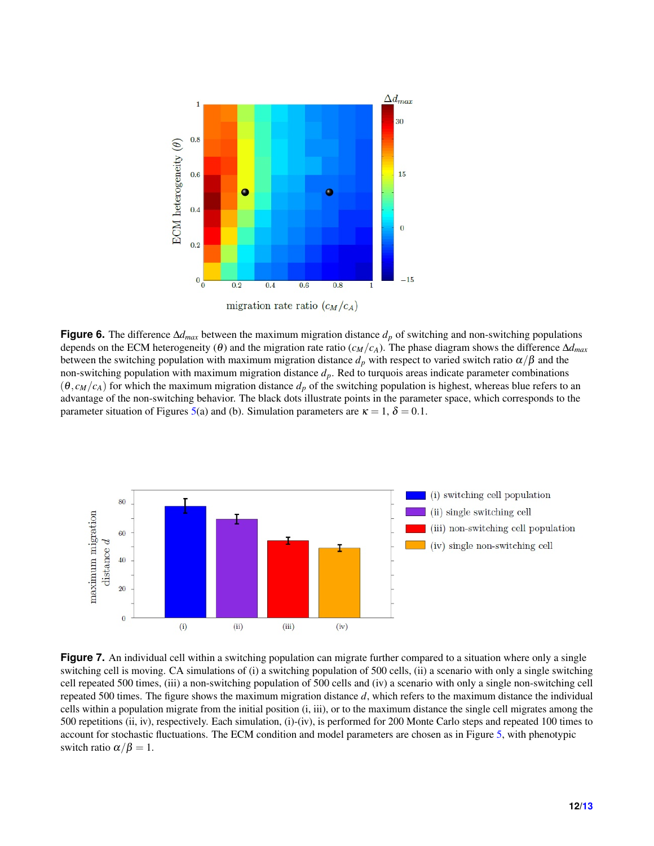<span id="page-11-0"></span>

**Figure 6.** The difference ∆*dmax* between the maximum migration distance *d<sup>p</sup>* of switching and non-switching populations depends on the ECM heterogeneity (θ) and the migration rate ratio (*cM*/*cA*). The phase diagram shows the difference ∆*dmax* between the switching population with maximum migration distance  $d_p$  with respect to varied switch ratio  $\alpha/\beta$  and the non-switching population with maximum migration distance *dp*. Red to turquois areas indicate parameter combinations  $(\theta, c_M/c_A)$  for which the maximum migration distance  $d_p$  of the switching population is highest, whereas blue refers to an advantage of the non-switching behavior. The black dots illustrate points in the parameter space, which corresponds to the parameter situation of Figures [5\(](#page-10-1)a) and (b). Simulation parameters are  $\kappa = 1$ ,  $\delta = 0.1$ .

<span id="page-11-1"></span>

**Figure 7.** An individual cell within a switching population can migrate further compared to a situation where only a single switching cell is moving. CA simulations of (i) a switching population of 500 cells, (ii) a scenario with only a single switching cell repeated 500 times, (iii) a non-switching population of 500 cells and (iv) a scenario with only a single non-switching cell repeated 500 times. The figure shows the maximum migration distance *d*, which refers to the maximum distance the individual cells within a population migrate from the initial position (i, iii), or to the maximum distance the single cell migrates among the 500 repetitions (ii, iv), respectively. Each simulation, (i)-(iv), is performed for 200 Monte Carlo steps and repeated 100 times to account for stochastic fluctuations. The ECM condition and model parameters are chosen as in Figure [5,](#page-10-1) with phenotypic switch ratio  $\alpha/\beta = 1$ .